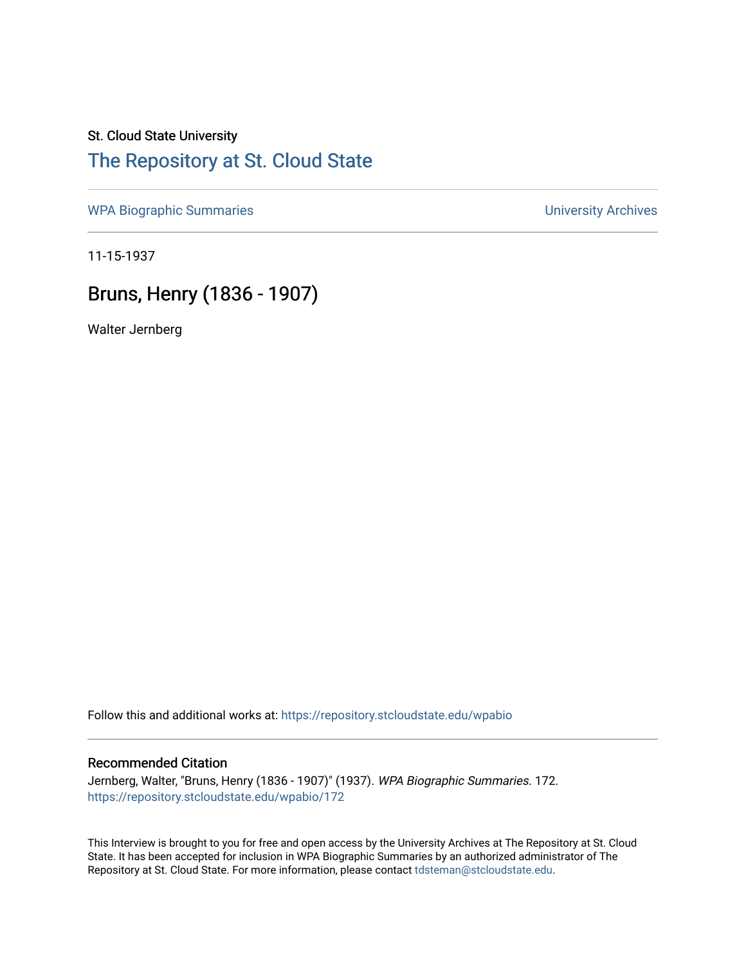## St. Cloud State University [The Repository at St. Cloud State](https://repository.stcloudstate.edu/)

[WPA Biographic Summaries](https://repository.stcloudstate.edu/wpabio) **WPA Biographic Summaries University Archives** 

11-15-1937

# Bruns, Henry (1836 - 1907)

Walter Jernberg

Follow this and additional works at: [https://repository.stcloudstate.edu/wpabio](https://repository.stcloudstate.edu/wpabio?utm_source=repository.stcloudstate.edu%2Fwpabio%2F172&utm_medium=PDF&utm_campaign=PDFCoverPages) 

### Recommended Citation

Jernberg, Walter, "Bruns, Henry (1836 - 1907)" (1937). WPA Biographic Summaries. 172. [https://repository.stcloudstate.edu/wpabio/172](https://repository.stcloudstate.edu/wpabio/172?utm_source=repository.stcloudstate.edu%2Fwpabio%2F172&utm_medium=PDF&utm_campaign=PDFCoverPages) 

This Interview is brought to you for free and open access by the University Archives at The Repository at St. Cloud State. It has been accepted for inclusion in WPA Biographic Summaries by an authorized administrator of The Repository at St. Cloud State. For more information, please contact [tdsteman@stcloudstate.edu.](mailto:tdsteman@stcloudstate.edu)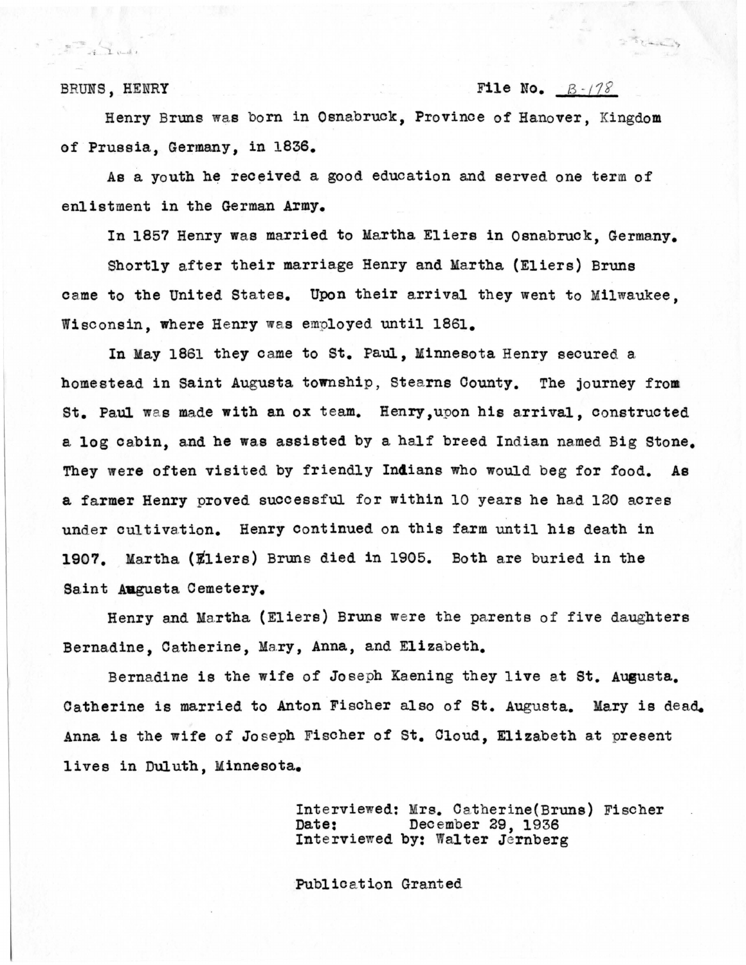## BRUNS, HENRY File No.  $B - 178$

 $370400$ 

 $\mathbb{Z}$  of  $\mathbb{Z}$ 

Henry Bruns was born in Osnabruck, Province of Hanover, Kingdom of Prussia, Germany, in 1836.

As a youth he received a good education and served one term of enlistment in the German **Army.** 

In 1857 Henry was married to Martha Eliers in Osnabruck, Germany.

Shortly after their marriage Henry and Martha (Eliers) Bruns came to the United States. Upon their arrival they went to Milwaukee, Wisconsin, where Henry was employed until 1861.

In May 1861 they came to St. Paul, Minnesota Henry secured a homestead in Saint Augusta township, Stearns County. The journey from St. Paul was made with an ox team. Henry, upon his arrival, constructed a log cabin, and he was assisted by a half breed Indian named Big Stone. They were often visited by friendly Indians who would beg for food. As a farmer Henry proved successful for within 10 years he had 120 acres under cultivation. Henry continued on this farm until his death in 1907. Martha (Eliers) Bruns died in 1905. Both are buried in the Saint Augusta Cemetery.

Henry and Martha (Eliers) Bruns were the parents of five daughters Bernadine, Catherine, Mary, Anna, and Elizabeth.

Bernadine is the wife of Joseph Kaening they live at St. AU@usta. Catherine is married to Anton Fischer also of St. Augusta. Mary is dead. Anna is the wife of Jo seph Fischer of St. Cloud, Elizabeth at present lives in Duluth, Minnesota.

> Interviewed: Mrs. Catherine(Bruns) Fischer **Date:** December 29, 1936 Interviewed by: Walter Jernberg

Publication Granted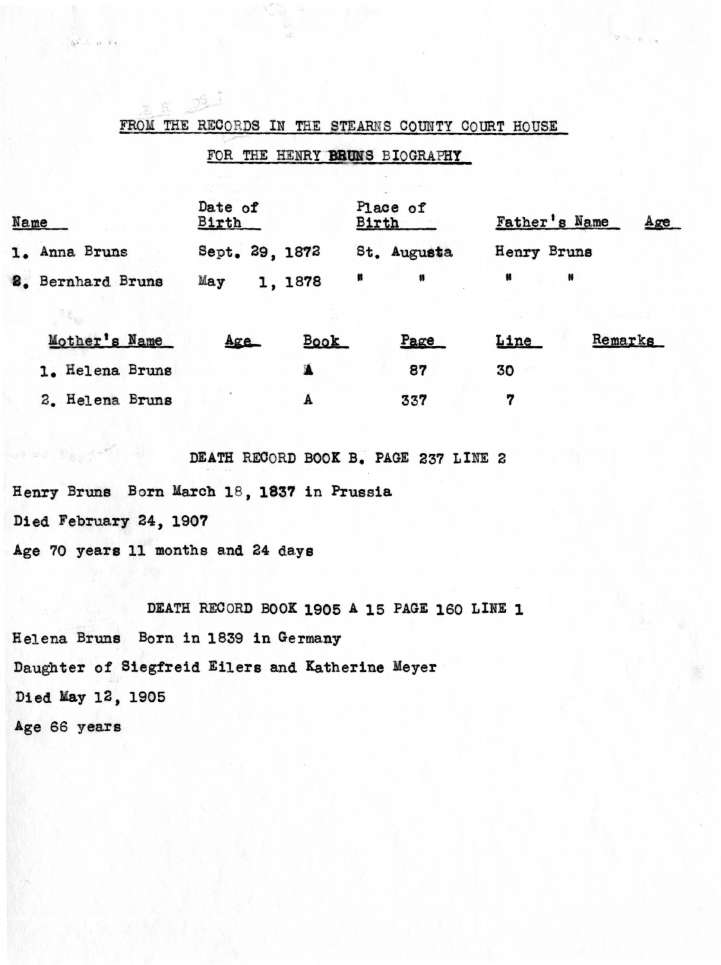## FROM THE RECORDS IN THE STEARNS COUNTY COURT HOUSE

## FOR THE HENRY **BRUNS** BIOGRAPHY

| Name              | Date of<br>Birth | Place of<br>Birth | Father's Name<br>Age |
|-------------------|------------------|-------------------|----------------------|
| 1. Anna Bruns     | Sept. 29, 1872   | St. Augusta       | Henry Bruns          |
| 8. Bernhard Bruns | May<br>1, 1878   | n                 |                      |

| Mother's Name   | Age | <b>Book</b> | Page      | <b>Line</b> | Remarks |
|-----------------|-----|-------------|-----------|-------------|---------|
| 1. Helena Bruns |     |             | 87<br>337 | 30          |         |
| 2. Helena Bruns |     |             |           |             |         |

DEATH RECORD BOOK B. PAGE 237 LINE 2

Henry Bruns Born March 18, 1837 in Prussia

112. J

Died February 24, 1907

 $85.5012$ 

Age 70 years 11 months and 24 days

DEATH RECORD BOOK 1905 A 15 PAGE 160 LINE 1 Helena Bruns Born in 1839 in Germany Daughter of Siegfreid Eilers and Katherine Meyer Died May 12, 1905 Age 66 years